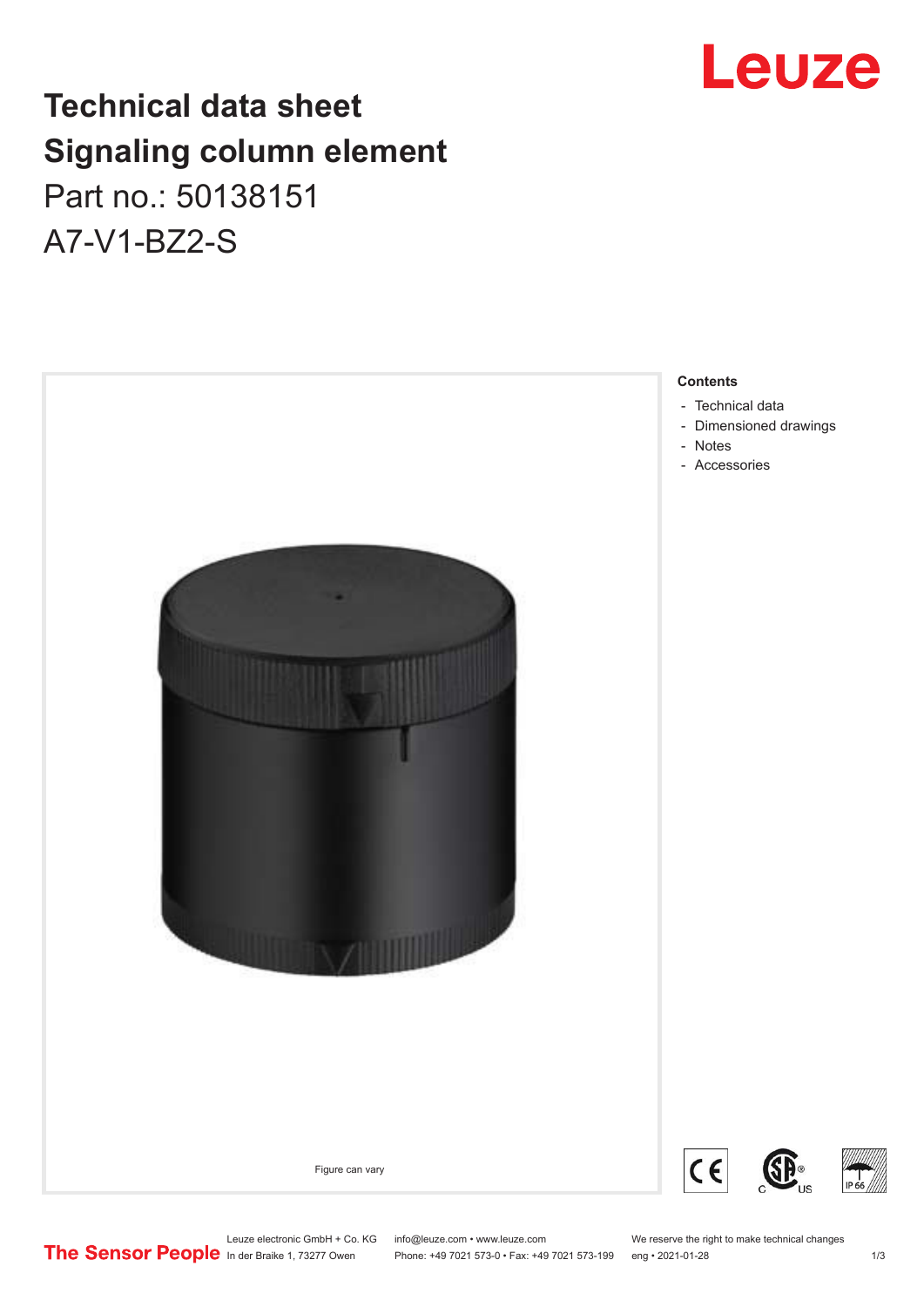## Leuze

### **Technical data sheet Signaling column element** Part no.: 50138151 A7-V1-BZ2-S

**Contents** - [Technical data](#page-1-0) - Notes - [Accessories](#page-2-0) Figure can vary

- 
- [Dimensioned drawings](#page-1-0)



Leuze electronic GmbH + Co. KG info@leuze.com • www.leuze.com We reserve the right to make technical changes<br>
The Sensor People in der Braike 1, 73277 Owen Phone: +49 7021 573-0 • Fax: +49 7021 573-199 eng • 2021-01-28

Phone: +49 7021 573-0 • Fax: +49 7021 573-199 eng • 2021-01-28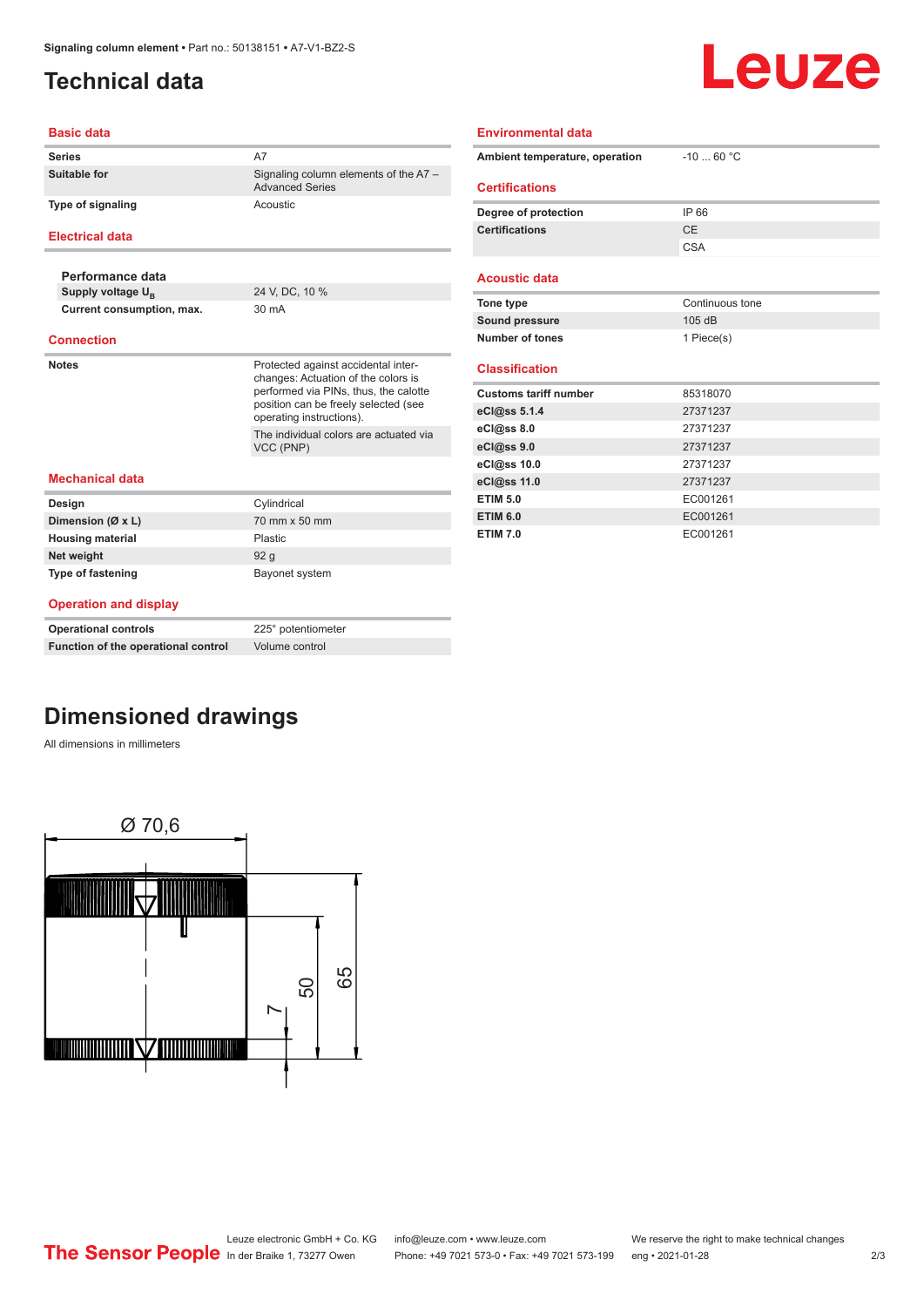#### <span id="page-1-0"></span>**Technical data**

# Leuze

| Signaling column elements of the A7 -<br><b>Advanced Series</b>                                                                                             |  |
|-------------------------------------------------------------------------------------------------------------------------------------------------------------|--|
|                                                                                                                                                             |  |
|                                                                                                                                                             |  |
|                                                                                                                                                             |  |
|                                                                                                                                                             |  |
|                                                                                                                                                             |  |
|                                                                                                                                                             |  |
| Protected against accidental inter-<br>changes: Actuation of the colors is<br>performed via PINs, thus, the calotte<br>position can be freely selected (see |  |
|                                                                                                                                                             |  |
| The individual colors are actuated via                                                                                                                      |  |
|                                                                                                                                                             |  |
|                                                                                                                                                             |  |
|                                                                                                                                                             |  |
|                                                                                                                                                             |  |
|                                                                                                                                                             |  |
|                                                                                                                                                             |  |

#### **Operation and display**

| <b>Operational controls</b>         | 225° potentiometer |
|-------------------------------------|--------------------|
| Function of the operational control | Volume control     |

### **Dimensioned drawings**

All dimensions in millimeters



| <b>Environmental data</b> |  |
|---------------------------|--|
|                           |  |

| Ambient temperature, operation | $-10$ 60 °C     |
|--------------------------------|-----------------|
| <b>Certifications</b>          |                 |
|                                |                 |
| Degree of protection           | IP 66           |
| <b>Certifications</b>          | CE              |
|                                | <b>CSA</b>      |
|                                |                 |
| <b>Acoustic data</b>           |                 |
| Tone type                      | Continuous tone |
| Sound pressure                 | 105dB           |
|                                |                 |
| Number of tones                | 1 Piece(s)      |
|                                |                 |
| <b>Classification</b>          |                 |
| <b>Customs tariff number</b>   | 85318070        |
| eCl@ss 5.1.4                   | 27371237        |
| eCl@ss 8.0                     | 27371237        |
| eCl@ss 9.0                     | 27371237        |
| eCl@ss 10.0                    | 27371237        |
| eCl@ss 11.0                    | 27371237        |
| <b>ETIM 5.0</b>                | EC001261        |
| <b>ETIM 6.0</b>                | EC001261        |